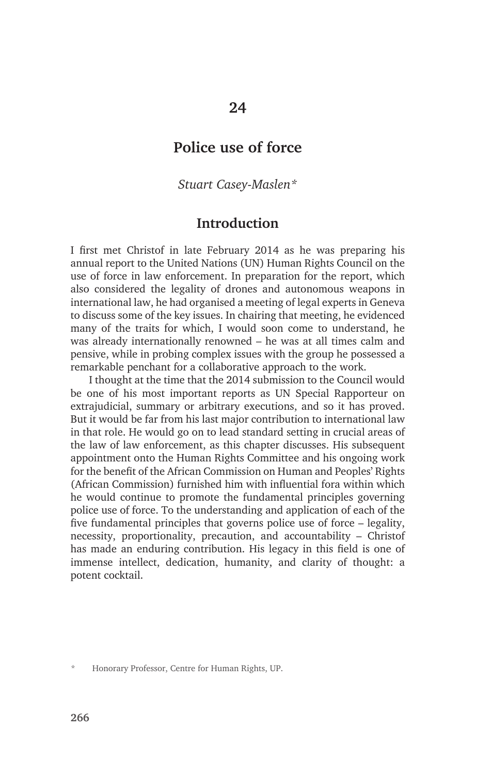# **Police use of force**

*Stuart Casey-Maslen\** 

## **Introduction**

I first met Christof in late February 2014 as he was preparing his annual report to the United Nations (UN) Human Rights Council on the use of force in law enforcement. In preparation for the report, which also considered the legality of drones and autonomous weapons in international law, he had organised a meeting of legal experts in Geneva to discuss some of the key issues. In chairing that meeting, he evidenced many of the traits for which, I would soon come to understand, he was already internationally renowned – he was at all times calm and pensive, while in probing complex issues with the group he possessed a remarkable penchant for a collaborative approach to the work.

I thought at the time that the 2014 submission to the Council would be one of his most important reports as UN Special Rapporteur on extrajudicial, summary or arbitrary executions, and so it has proved. But it would be far from his last major contribution to international law in that role. He would go on to lead standard setting in crucial areas of the law of law enforcement, as this chapter discusses. His subsequent appointment onto the Human Rights Committee and his ongoing work for the benefit of the African Commission on Human and Peoples' Rights (African Commission) furnished him with influential fora within which he would continue to promote the fundamental principles governing police use of force. To the understanding and application of each of the five fundamental principles that governs police use of force – legality, necessity, proportionality, precaution, and accountability – Christof has made an enduring contribution. His legacy in this field is one of immense intellect, dedication, humanity, and clarity of thought: a potent cocktail.

\* Honorary Professor, Centre for Human Rights, UP.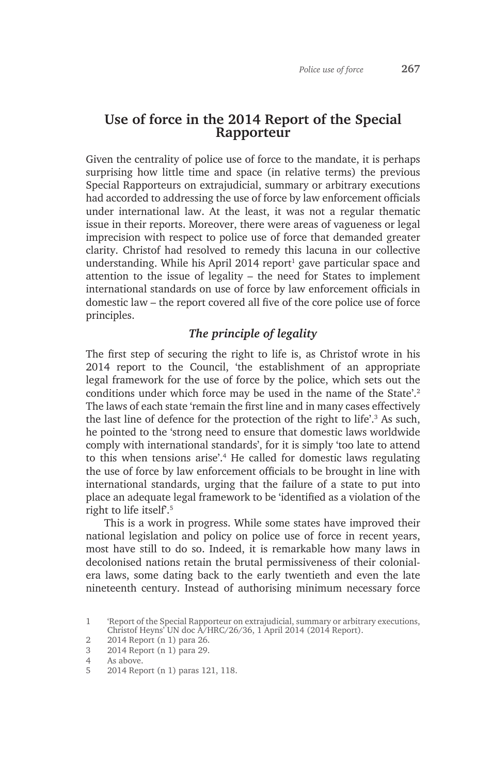## **Use of force in the 2014 Report of the Special Rapporteur**

Given the centrality of police use of force to the mandate, it is perhaps surprising how little time and space (in relative terms) the previous Special Rapporteurs on extrajudicial, summary or arbitrary executions had accorded to addressing the use of force by law enforcement officials under international law. At the least, it was not a regular thematic issue in their reports. Moreover, there were areas of vagueness or legal imprecision with respect to police use of force that demanded greater clarity. Christof had resolved to remedy this lacuna in our collective understanding. While his April 2014 report<sup>1</sup> gave particular space and attention to the issue of legality – the need for States to implement international standards on use of force by law enforcement officials in domestic law – the report covered all five of the core police use of force principles.

#### *The principle of legality*

The first step of securing the right to life is, as Christof wrote in his 2014 report to the Council, 'the establishment of an appropriate legal framework for the use of force by the police, which sets out the conditions under which force may be used in the name of the State'.<sup>2</sup> The laws of each state 'remain the first line and in many cases effectively the last line of defence for the protection of the right to life'.<sup>3</sup> As such, he pointed to the 'strong need to ensure that domestic laws worldwide comply with international standards', for it is simply 'too late to attend to this when tensions arise'.4 He called for domestic laws regulating the use of force by law enforcement officials to be brought in line with international standards, urging that the failure of a state to put into place an adequate legal framework to be 'identified as a violation of the right to life itself.<sup>5</sup>

This is a work in progress. While some states have improved their national legislation and policy on police use of force in recent years, most have still to do so. Indeed, it is remarkable how many laws in decolonised nations retain the brutal permissiveness of their colonialera laws, some dating back to the early twentieth and even the late nineteenth century. Instead of authorising minimum necessary force

<sup>1</sup> 'Report of the Special Rapporteur on extrajudicial, summary or arbitrary executions, Christof Heyns' UN doc A/HRC/26/36, 1 April 2014 (2014 Report).

<sup>2</sup> 2014 Report (n 1) para 26.

<sup>3</sup> 2014 Report (n 1) para 29.

<sup>4</sup> As above.

<sup>5</sup> 2014 Report (n 1) paras 121, 118.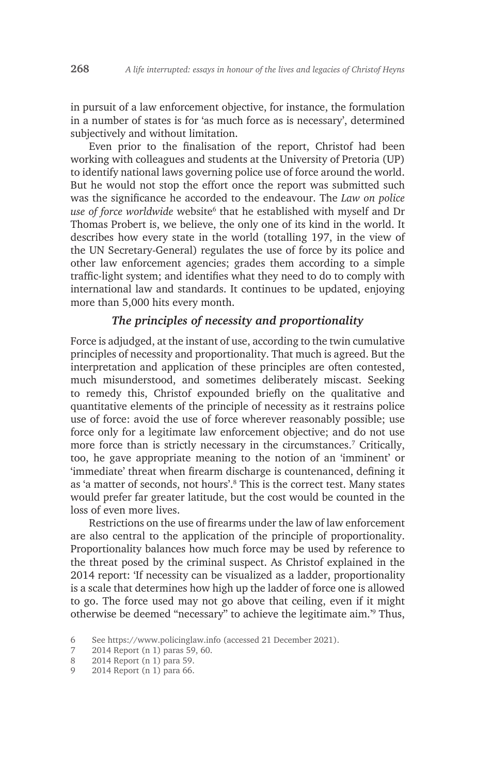in pursuit of a law enforcement objective, for instance, the formulation in a number of states is for 'as much force as is necessary', determined subjectively and without limitation.

Even prior to the finalisation of the report, Christof had been working with colleagues and students at the University of Pretoria (UP) to identify national laws governing police use of force around the world. But he would not stop the effort once the report was submitted such was the significance he accorded to the endeavour. The *Law on police*  use of force worldwide website<sup>6</sup> that he established with myself and Dr Thomas Probert is, we believe, the only one of its kind in the world. It describes how every state in the world (totalling 197, in the view of the UN Secretary-General) regulates the use of force by its police and other law enforcement agencies; grades them according to a simple traffic-light system; and identifies what they need to do to comply with international law and standards. It continues to be updated, enjoying more than 5,000 hits every month.

#### *The principles of necessity and proportionality*

Force is adjudged, at the instant of use, according to the twin cumulative principles of necessity and proportionality. That much is agreed. But the interpretation and application of these principles are often contested, much misunderstood, and sometimes deliberately miscast. Seeking to remedy this, Christof expounded briefly on the qualitative and quantitative elements of the principle of necessity as it restrains police use of force: avoid the use of force wherever reasonably possible; use force only for a legitimate law enforcement objective; and do not use more force than is strictly necessary in the circumstances.<sup>7</sup> Critically, too, he gave appropriate meaning to the notion of an 'imminent' or 'immediate' threat when firearm discharge is countenanced, defining it as 'a matter of seconds, not hours'.8 This is the correct test. Many states would prefer far greater latitude, but the cost would be counted in the loss of even more lives.

Restrictions on the use of firearms under the law of law enforcement are also central to the application of the principle of proportionality. Proportionality balances how much force may be used by reference to the threat posed by the criminal suspect. As Christof explained in the 2014 report: 'If necessity can be visualized as a ladder, proportionality is a scale that determines how high up the ladder of force one is allowed to go. The force used may not go above that ceiling, even if it might otherwise be deemed "necessary" to achieve the legitimate aim.'9 Thus,

<sup>6</sup> See https://www.policinglaw.info (accessed 21 December 2021).

<sup>7</sup> 2014 Report (n 1) paras 59, 60.

<sup>8</sup> 2014 Report (n 1) para 59.

<sup>9</sup> 2014 Report (n 1) para 66.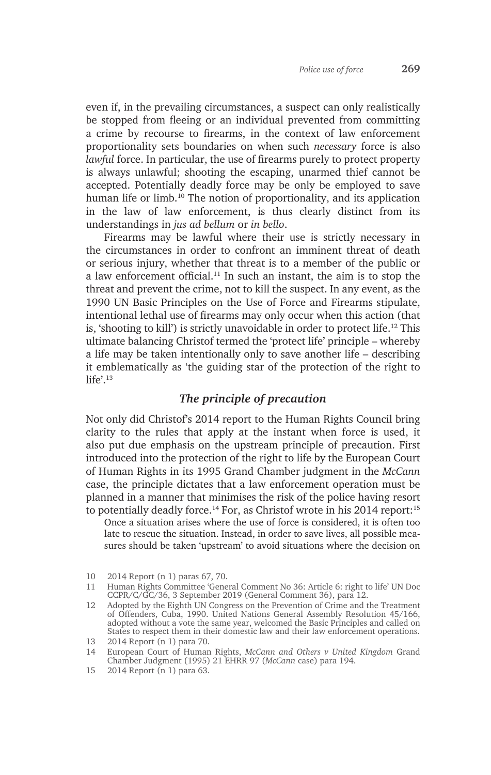even if, in the prevailing circumstances, a suspect can only realistically be stopped from fleeing or an individual prevented from committing a crime by recourse to firearms, in the context of law enforcement proportionality sets boundaries on when such *necessary* force is also *lawful* force. In particular, the use of firearms purely to protect property is always unlawful; shooting the escaping, unarmed thief cannot be accepted. Potentially deadly force may be only be employed to save human life or limb.<sup>10</sup> The notion of proportionality, and its application in the law of law enforcement, is thus clearly distinct from its understandings in *jus ad bellum* or *in bello*.

Firearms may be lawful where their use is strictly necessary in the circumstances in order to confront an imminent threat of death or serious injury, whether that threat is to a member of the public or a law enforcement official.11 In such an instant, the aim is to stop the threat and prevent the crime, not to kill the suspect. In any event, as the 1990 UN Basic Principles on the Use of Force and Firearms stipulate, intentional lethal use of firearms may only occur when this action (that is, 'shooting to kill') is strictly unavoidable in order to protect life.<sup>12</sup> This ultimate balancing Christof termed the 'protect life' principle – whereby a life may be taken intentionally only to save another life – describing it emblematically as 'the guiding star of the protection of the right to  $l$ ife'.<sup>13</sup>

#### *The principle of precaution*

Not only did Christof's 2014 report to the Human Rights Council bring clarity to the rules that apply at the instant when force is used, it also put due emphasis on the upstream principle of precaution. First introduced into the protection of the right to life by the European Court of Human Rights in its 1995 Grand Chamber judgment in the *McCann* case, the principle dictates that a law enforcement operation must be planned in a manner that minimises the risk of the police having resort to potentially deadly force.<sup>14</sup> For, as Christof wrote in his 2014 report:<sup>15</sup>

Once a situation arises where the use of force is considered, it is often too late to rescue the situation. Instead, in order to save lives, all possible measures should be taken 'upstream' to avoid situations where the decision on

<sup>10</sup> 2014 Report (n 1) paras 67, 70.

<sup>11</sup> Human Rights Committee 'General Comment No 36: Article 6: right to life' UN Doc CCPR/C/GC/36, 3 September 2019 (General Comment 36), para 12.

<sup>12</sup> Adopted by the Eighth UN Congress on the Prevention of Crime and the Treatment of Offenders, Cuba, 1990. United Nations General Assembly Resolution 45/166, adopted without a vote the same year, welcomed the Basic Principles and called on States to respect them in their domestic law and their law enforcement operations.

<sup>13</sup> 2014 Report (n 1) para 70.

<sup>14</sup> European Court of Human Rights, *McCann and Others v United Kingdom* Grand Chamber Judgment (1995) 21 EHRR 97 (*McCann* case) para 194.

<sup>15</sup> 2014 Report (n 1) para 63.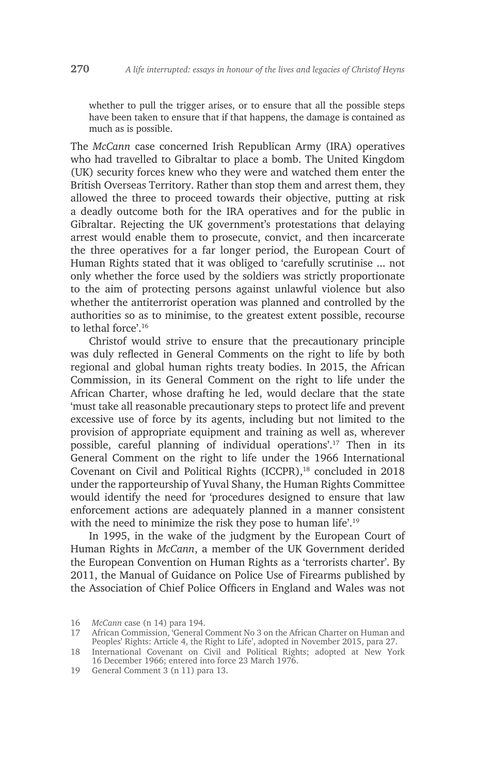whether to pull the trigger arises, or to ensure that all the possible steps have been taken to ensure that if that happens, the damage is contained as much as is possible.

The *McCann* case concerned Irish Republican Army (IRA) operatives who had travelled to Gibraltar to place a bomb. The United Kingdom (UK) security forces knew who they were and watched them enter the British Overseas Territory. Rather than stop them and arrest them, they allowed the three to proceed towards their objective, putting at risk a deadly outcome both for the IRA operatives and for the public in Gibraltar. Rejecting the UK government's protestations that delaying arrest would enable them to prosecute, convict, and then incarcerate the three operatives for a far longer period, the European Court of Human Rights stated that it was obliged to 'carefully scrutinise ... not only whether the force used by the soldiers was strictly proportionate to the aim of protecting persons against unlawful violence but also whether the antiterrorist operation was planned and controlled by the authorities so as to minimise, to the greatest extent possible, recourse to lethal force'.16

Christof would strive to ensure that the precautionary principle was duly reflected in General Comments on the right to life by both regional and global human rights treaty bodies. In 2015, the African Commission, in its General Comment on the right to life under the African Charter, whose drafting he led, would declare that the state 'must take all reasonable precautionary steps to protect life and prevent excessive use of force by its agents, including but not limited to the provision of appropriate equipment and training as well as, wherever possible, careful planning of individual operations'.17 Then in its General Comment on the right to life under the 1966 International Covenant on Civil and Political Rights (ICCPR),<sup>18</sup> concluded in 2018 under the rapporteurship of Yuval Shany, the Human Rights Committee would identify the need for 'procedures designed to ensure that law enforcement actions are adequately planned in a manner consistent with the need to minimize the risk they pose to human life'.<sup>19</sup>

In 1995, in the wake of the judgment by the European Court of Human Rights in *McCann*, a member of the UK Government derided the European Convention on Human Rights as a 'terrorists charter'. By 2011, the Manual of Guidance on Police Use of Firearms published by the Association of Chief Police Officers in England and Wales was not

19 General Comment 3 (n 11) para 13.

<sup>16</sup> *McCann* case (n 14) para 194.

<sup>17</sup> African Commission, 'General Comment No 3 on the African Charter on Human and Peoples' Rights: Article 4, the Right to Life', adopted in November 2015, para 27.

<sup>18</sup> International Covenant on Civil and Political Rights; adopted at New York 16 December 1966; entered into force 23 March 1976.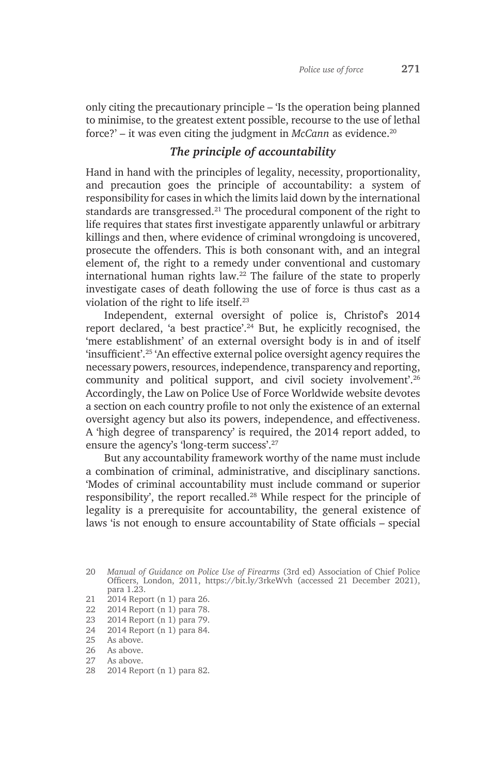only citing the precautionary principle – 'Is the operation being planned to minimise, to the greatest extent possible, recourse to the use of lethal force?' – it was even citing the judgment in *McCann* as evidence.20

#### *The principle of accountability*

Hand in hand with the principles of legality, necessity, proportionality, and precaution goes the principle of accountability: a system of responsibility for cases in which the limits laid down by the international standards are transgressed.<sup>21</sup> The procedural component of the right to life requires that states first investigate apparently unlawful or arbitrary killings and then, where evidence of criminal wrongdoing is uncovered, prosecute the offenders. This is both consonant with, and an integral element of, the right to a remedy under conventional and customary international human rights law.<sup>22</sup> The failure of the state to properly investigate cases of death following the use of force is thus cast as a violation of the right to life itself.23

Independent, external oversight of police is, Christof's 2014 report declared, 'a best practice'.<sup>24</sup> But, he explicitly recognised, the 'mere establishment' of an external oversight body is in and of itself 'insufficient'.25 'An effective external police oversight agency requires the necessary powers, resources, independence, transparency and reporting, community and political support, and civil society involvement'.26 Accordingly, the Law on Police Use of Force Worldwide website devotes a section on each country profile to not only the existence of an external oversight agency but also its powers, independence, and effectiveness. A 'high degree of transparency' is required, the 2014 report added, to ensure the agency's 'long-term success'.27

But any accountability framework worthy of the name must include a combination of criminal, administrative, and disciplinary sanctions. 'Modes of criminal accountability must include command or superior responsibility', the report recalled.28 While respect for the principle of legality is a prerequisite for accountability, the general existence of laws 'is not enough to ensure accountability of State officials – special

- 21 2014 Report (n 1) para 26.
- 22 2014 Report (n 1) para 78.
- 23 2014 Report (n 1) para 79.
- 24 2014 Report (n 1) para 84.<br>25 As above

- 26 As above.
- 27 As above.
- 28 2014 Report (n 1) para 82.

<sup>20</sup> *Manual of Guidance on Police Use of Firearms* (3rd ed) Association of Chief Police Officers, London, 2011, https://bit.ly/3rkeWvh (accessed 21 December 2021), para 1.23.

As above.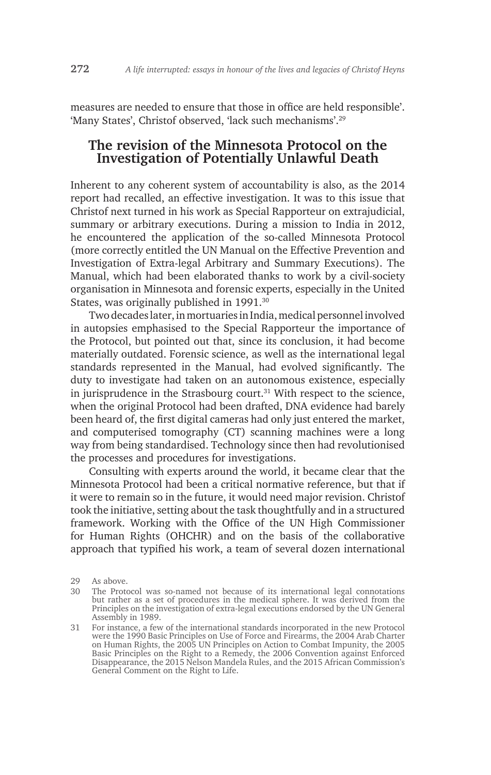measures are needed to ensure that those in office are held responsible'. 'Many States', Christof observed, 'lack such mechanisms'.29

### **The revision of the Minnesota Protocol on the Investigation of Potentially Unlawful Death**

Inherent to any coherent system of accountability is also, as the 2014 report had recalled, an effective investigation. It was to this issue that Christof next turned in his work as Special Rapporteur on extrajudicial, summary or arbitrary executions. During a mission to India in 2012, he encountered the application of the so-called Minnesota Protocol (more correctly entitled the UN Manual on the Effective Prevention and Investigation of Extra-legal Arbitrary and Summary Executions). The Manual, which had been elaborated thanks to work by a civil-society organisation in Minnesota and forensic experts, especially in the United States, was originally published in 1991.<sup>30</sup>

Two decades later, in mortuaries in India, medical personnel involved in autopsies emphasised to the Special Rapporteur the importance of the Protocol, but pointed out that, since its conclusion, it had become materially outdated. Forensic science, as well as the international legal standards represented in the Manual, had evolved significantly. The duty to investigate had taken on an autonomous existence, especially in jurisprudence in the Strasbourg court. $31$  With respect to the science, when the original Protocol had been drafted, DNA evidence had barely been heard of, the first digital cameras had only just entered the market, and computerised tomography (CT) scanning machines were a long way from being standardised. Technology since then had revolutionised the processes and procedures for investigations.

Consulting with experts around the world, it became clear that the Minnesota Protocol had been a critical normative reference, but that if it were to remain so in the future, it would need major revision. Christof took the initiative, setting about the task thoughtfully and in a structured framework. Working with the Office of the UN High Commissioner for Human Rights (OHCHR) and on the basis of the collaborative approach that typified his work, a team of several dozen international

<sup>29</sup> As above.

<sup>30</sup> The Protocol was so-named not because of its international legal connotations but rather as a set of procedures in the medical sphere. It was derived from the Principles on the investigation of extra-legal executions endorsed by the UN General Assembly in 1989.

<sup>31</sup> For instance, a few of the international standards incorporated in the new Protocol were the 1990 Basic Principles on Use of Force and Firearms, the 2004 Arab Charter on Human Rights, the 2005 UN Principles on Action to Combat Impunity, the 2005 Basic Principles on the Right to a Remedy, the 2006 Convention against Enforced Disappearance, the 2015 Nelson Mandela Rules, and the 2015 African Commission's General Comment on the Right to Life.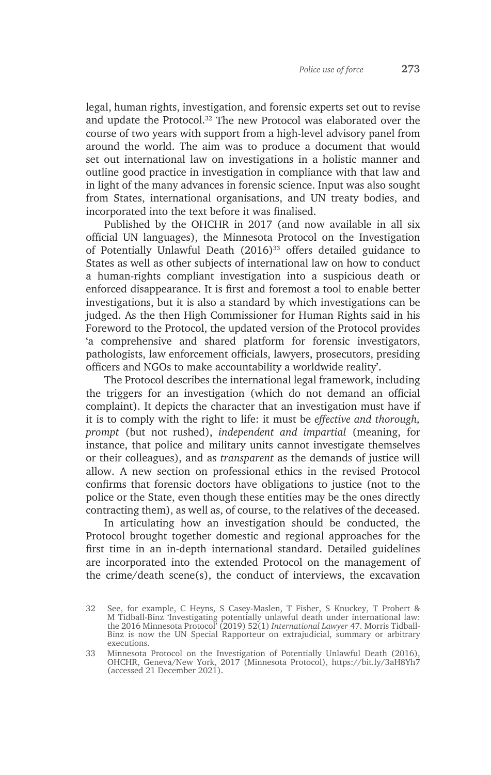legal, human rights, investigation, and forensic experts set out to revise and update the Protocol.32 The new Protocol was elaborated over the course of two years with support from a high-level advisory panel from around the world. The aim was to produce a document that would set out international law on investigations in a holistic manner and outline good practice in investigation in compliance with that law and in light of the many advances in forensic science. Input was also sought from States, international organisations, and UN treaty bodies, and incorporated into the text before it was finalised.

Published by the OHCHR in 2017 (and now available in all six official UN languages), the Minnesota Protocol on the Investigation of Potentially Unlawful Death (2016)<sup>33</sup> offers detailed guidance to States as well as other subjects of international law on how to conduct a human-rights compliant investigation into a suspicious death or enforced disappearance. It is first and foremost a tool to enable better investigations, but it is also a standard by which investigations can be judged. As the then High Commissioner for Human Rights said in his Foreword to the Protocol, the updated version of the Protocol provides 'a comprehensive and shared platform for forensic investigators, pathologists, law enforcement officials, lawyers, prosecutors, presiding officers and NGOs to make accountability a worldwide reality'.

The Protocol describes the international legal framework, including the triggers for an investigation (which do not demand an official complaint). It depicts the character that an investigation must have if it is to comply with the right to life: it must be *effective and thorough, prompt* (but not rushed), *independent and impartial* (meaning, for instance, that police and military units cannot investigate themselves or their colleagues), and as *transparent* as the demands of justice will allow. A new section on professional ethics in the revised Protocol confirms that forensic doctors have obligations to justice (not to the police or the State, even though these entities may be the ones directly contracting them), as well as, of course, to the relatives of the deceased.

In articulating how an investigation should be conducted, the Protocol brought together domestic and regional approaches for the first time in an in-depth international standard. Detailed guidelines are incorporated into the extended Protocol on the management of the crime/death scene(s), the conduct of interviews, the excavation

<sup>32</sup> See, for example, C Heyns, S Casey-Maslen, T Fisher, S Knuckey, T Probert & M Tidball-Binz 'Investigating potentially unlawful death under international law: the 2016 Minnesota Protocol' (2019) 52(1) *International Lawyer* 47. Morris Tidball-Binz is now the UN Special Rapporteur on extrajudicial, summary or arbitrary executions.

<sup>33</sup> Minnesota Protocol on the Investigation of Potentially Unlawful Death (2016), OHCHR, Geneva/New York, 2017 (Minnesota Protocol), https://bit.ly/3aH8Yh7 (accessed 21 December 2021).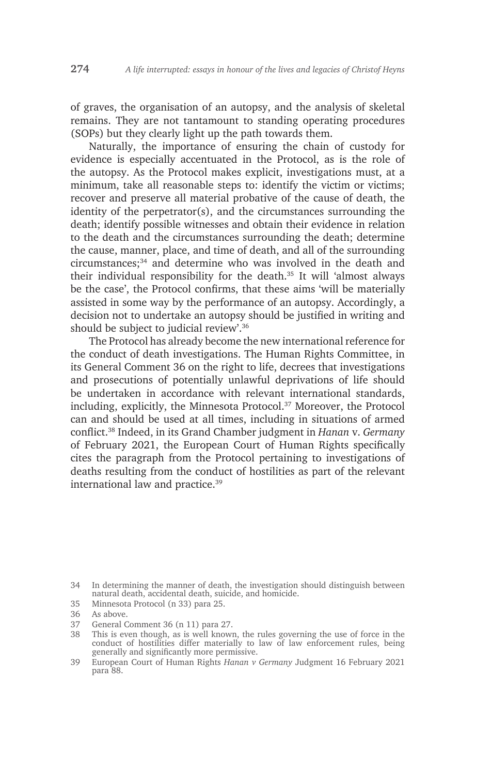of graves, the organisation of an autopsy, and the analysis of skeletal remains. They are not tantamount to standing operating procedures (SOPs) but they clearly light up the path towards them.

Naturally, the importance of ensuring the chain of custody for evidence is especially accentuated in the Protocol, as is the role of the autopsy. As the Protocol makes explicit, investigations must, at a minimum, take all reasonable steps to: identify the victim or victims; recover and preserve all material probative of the cause of death, the identity of the perpetrator(s), and the circumstances surrounding the death; identify possible witnesses and obtain their evidence in relation to the death and the circumstances surrounding the death; determine the cause, manner, place, and time of death, and all of the surrounding circumstances;<sup>34</sup> and determine who was involved in the death and their individual responsibility for the death.<sup>35</sup> It will 'almost always be the case', the Protocol confirms, that these aims 'will be materially assisted in some way by the performance of an autopsy. Accordingly, a decision not to undertake an autopsy should be justified in writing and should be subject to judicial review'.<sup>36</sup>

The Protocol has already become the new international reference for the conduct of death investigations. The Human Rights Committee, in its General Comment 36 on the right to life, decrees that investigations and prosecutions of potentially unlawful deprivations of life should be undertaken in accordance with relevant international standards, including, explicitly, the Minnesota Protocol.<sup>37</sup> Moreover, the Protocol can and should be used at all times, including in situations of armed conflict.38 Indeed, in its Grand Chamber judgment in *Hanan* v. *Germany* of February 2021, the European Court of Human Rights specifically cites the paragraph from the Protocol pertaining to investigations of deaths resulting from the conduct of hostilities as part of the relevant international law and practice.39

- 35 Minnesota Protocol (n 33) para 25.
- 36 As above.

<sup>34</sup> In determining the manner of death, the investigation should distinguish between natural death, accidental death, suicide, and homicide.

<sup>37</sup> General Comment 36 (n 11) para 27.

<sup>38</sup> This is even though, as is well known, the rules governing the use of force in the conduct of hostilities differ materially to law of law enforcement rules, being generally and significantly more permissive.

<sup>39</sup> European Court of Human Rights *Hanan v Germany* Judgment 16 February 2021 para 88.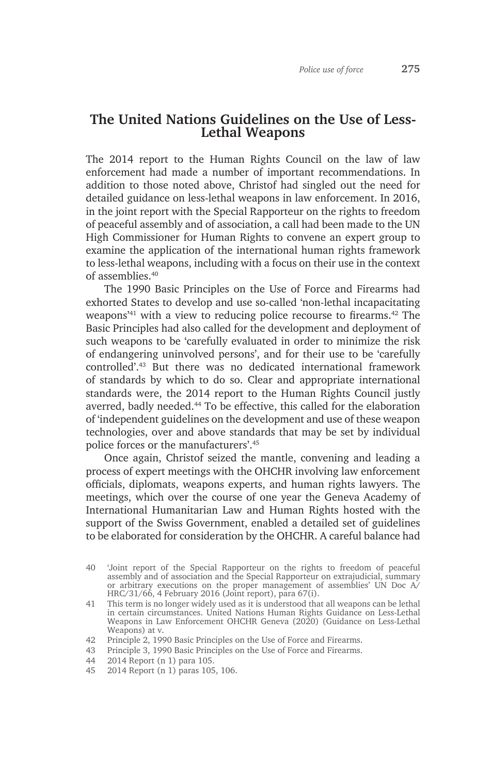### **The United Nations Guidelines on the Use of Less-Lethal Weapons**

The 2014 report to the Human Rights Council on the law of law enforcement had made a number of important recommendations. In addition to those noted above, Christof had singled out the need for detailed guidance on less-lethal weapons in law enforcement. In 2016, in the joint report with the Special Rapporteur on the rights to freedom of peaceful assembly and of association, a call had been made to the UN High Commissioner for Human Rights to convene an expert group to examine the application of the international human rights framework to less-lethal weapons, including with a focus on their use in the context of assemblies.<sup>40</sup>

The 1990 Basic Principles on the Use of Force and Firearms had exhorted States to develop and use so-called 'non-lethal incapacitating weapons'41 with a view to reducing police recourse to firearms.42 The Basic Principles had also called for the development and deployment of such weapons to be 'carefully evaluated in order to minimize the risk of endangering uninvolved persons', and for their use to be 'carefully controlled'.43 But there was no dedicated international framework of standards by which to do so. Clear and appropriate international standards were, the 2014 report to the Human Rights Council justly averred, badly needed.<sup>44</sup> To be effective, this called for the elaboration of 'independent guidelines on the development and use of these weapon technologies, over and above standards that may be set by individual police forces or the manufacturers'.45

Once again, Christof seized the mantle, convening and leading a process of expert meetings with the OHCHR involving law enforcement officials, diplomats, weapons experts, and human rights lawyers. The meetings, which over the course of one year the Geneva Academy of International Humanitarian Law and Human Rights hosted with the support of the Swiss Government, enabled a detailed set of guidelines to be elaborated for consideration by the OHCHR. A careful balance had

- 44 2014 Report (n 1) para 105.
- 2014 Report (n 1) paras 105, 106.

<sup>40</sup> 'Joint report of the Special Rapporteur on the rights to freedom of peaceful assembly and of association and the Special Rapporteur on extrajudicial, summary or arbitrary executions on the proper management of assemblies' UN Doc A/ HRC/31/66, 4 February 2016 (Joint report), para 67(i).

<sup>41</sup> This term is no longer widely used as it is understood that all weapons can be lethal in certain circumstances. United Nations Human Rights Guidance on Less-Lethal Weapons in Law Enforcement OHCHR Geneva (2020) (Guidance on Less-Lethal Weapons) at v.

<sup>42</sup> Principle 2, 1990 Basic Principles on the Use of Force and Firearms.

<sup>43</sup> Principle 3, 1990 Basic Principles on the Use of Force and Firearms.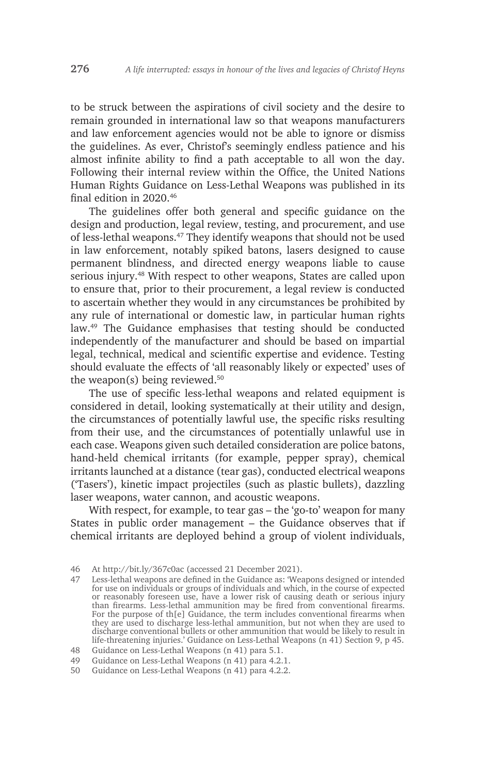to be struck between the aspirations of civil society and the desire to remain grounded in international law so that weapons manufacturers and law enforcement agencies would not be able to ignore or dismiss the guidelines. As ever, Christof's seemingly endless patience and his almost infinite ability to find a path acceptable to all won the day. Following their internal review within the Office, the United Nations Human Rights Guidance on Less-Lethal Weapons was published in its final edition in 2020.46

The guidelines offer both general and specific guidance on the design and production, legal review, testing, and procurement, and use of less-lethal weapons.47 They identify weapons that should not be used in law enforcement, notably spiked batons, lasers designed to cause permanent blindness, and directed energy weapons liable to cause serious injury.<sup>48</sup> With respect to other weapons, States are called upon to ensure that, prior to their procurement, a legal review is conducted to ascertain whether they would in any circumstances be prohibited by any rule of international or domestic law, in particular human rights law.49 The Guidance emphasises that testing should be conducted independently of the manufacturer and should be based on impartial legal, technical, medical and scientific expertise and evidence. Testing should evaluate the effects of 'all reasonably likely or expected' uses of the weapon(s) being reviewed. $50$ 

The use of specific less-lethal weapons and related equipment is considered in detail, looking systematically at their utility and design, the circumstances of potentially lawful use, the specific risks resulting from their use, and the circumstances of potentially unlawful use in each case. Weapons given such detailed consideration are police batons, hand-held chemical irritants (for example, pepper spray), chemical irritants launched at a distance (tear gas), conducted electrical weapons ('Tasers'), kinetic impact projectiles (such as plastic bullets), dazzling laser weapons, water cannon, and acoustic weapons.

With respect, for example, to tear gas – the 'go-to' weapon for many States in public order management – the Guidance observes that if chemical irritants are deployed behind a group of violent individuals,

<sup>46</sup> At http://bit.ly/367c0ac (accessed 21 December 2021).

<sup>47</sup> Less-lethal weapons are defined in the Guidance as: 'Weapons designed or intended for use on individuals or groups of individuals and which, in the course of expected or reasonably foreseen use, have a lower risk of causing death or serious injury than firearms. Less-lethal ammunition may be fired from conventional firearms. For the purpose of th[e] Guidance, the term includes conventional firearms when they are used to discharge less-lethal ammunition, but not when they are used to discharge conventional bullets or other ammunition that would be likely to result in life-threatening injuries.' Guidance on Less-Lethal Weapons (n 41) Section 9, p 45.

<sup>48</sup> Guidance on Less-Lethal Weapons (n 41) para 5.1.

<sup>49</sup> Guidance on Less-Lethal Weapons (n 41) para 4.2.1.

<sup>50</sup> Guidance on Less-Lethal Weapons (n 41) para 4.2.2.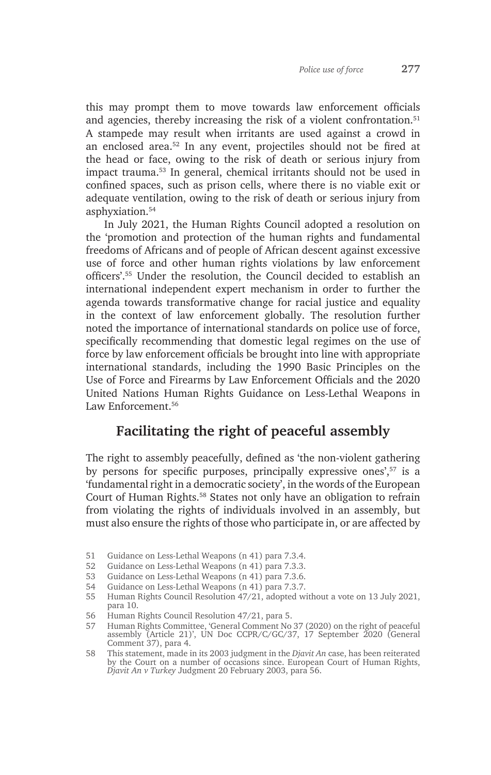this may prompt them to move towards law enforcement officials and agencies, thereby increasing the risk of a violent confrontation.<sup>51</sup> A stampede may result when irritants are used against a crowd in an enclosed area.52 In any event, projectiles should not be fired at the head or face, owing to the risk of death or serious injury from impact trauma.53 In general, chemical irritants should not be used in confined spaces, such as prison cells, where there is no viable exit or adequate ventilation, owing to the risk of death or serious injury from asphyxiation.54

In July 2021, the Human Rights Council adopted a resolution on the 'promotion and protection of the human rights and fundamental freedoms of Africans and of people of African descent against excessive use of force and other human rights violations by law enforcement officers'.55 Under the resolution, the Council decided to establish an international independent expert mechanism in order to further the agenda towards transformative change for racial justice and equality in the context of law enforcement globally. The resolution further noted the importance of international standards on police use of force, specifically recommending that domestic legal regimes on the use of force by law enforcement officials be brought into line with appropriate international standards, including the 1990 Basic Principles on the Use of Force and Firearms by Law Enforcement Officials and the 2020 United Nations Human Rights Guidance on Less-Lethal Weapons in Law Enforcement<sup>56</sup>

# **Facilitating the right of peaceful assembly**

The right to assembly peacefully, defined as 'the non-violent gathering by persons for specific purposes, principally expressive ones',<sup>57</sup> is a 'fundamental right in a democratic society', in the words of the European Court of Human Rights.<sup>58</sup> States not only have an obligation to refrain from violating the rights of individuals involved in an assembly, but must also ensure the rights of those who participate in, or are affected by

- 51 Guidance on Less-Lethal Weapons (n 41) para 7.3.4.
- 52 Guidance on Less-Lethal Weapons (n 41) para 7.3.3.
- 53 Guidance on Less-Lethal Weapons (n 41) para 7.3.6.
- 54 Guidance on Less-Lethal Weapons (n 41) para 7.3.7.

<sup>55</sup> Human Rights Council Resolution 47/21, adopted without a vote on 13 July 2021, para 10.

<sup>56</sup> Human Rights Council Resolution 47/21, para 5.

<sup>57</sup> Human Rights Committee, 'General Comment No 37 (2020) on the right of peaceful assembly (Article 21)', UN Doc CCPR/C/GC/37, 17 September 2020 (General Comment 37), para 4.

<sup>58</sup> This statement, made in its 2003 judgment in the *Djavit An* case, has been reiterated by the Court on a number of occasions since. European Court of Human Rights, *Djavit An v Turkey* Judgment 20 February 2003, para 56.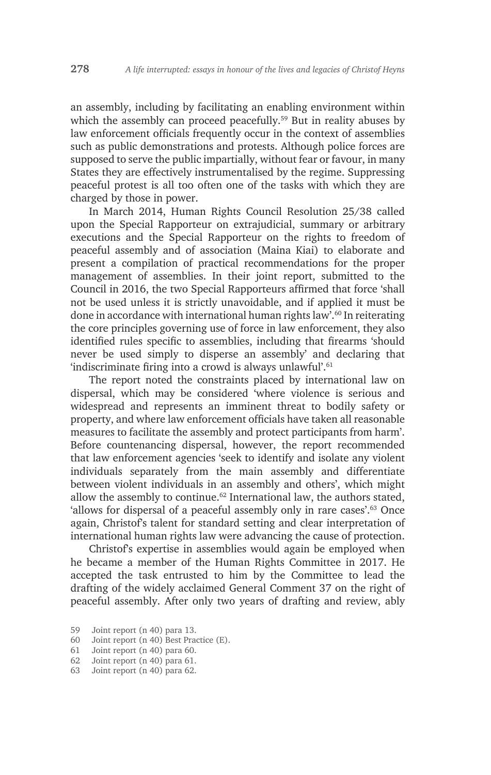an assembly, including by facilitating an enabling environment within which the assembly can proceed peacefully.<sup>59</sup> But in reality abuses by law enforcement officials frequently occur in the context of assemblies such as public demonstrations and protests. Although police forces are supposed to serve the public impartially, without fear or favour, in many States they are effectively instrumentalised by the regime. Suppressing peaceful protest is all too often one of the tasks with which they are charged by those in power.

In March 2014, Human Rights Council Resolution 25/38 called upon the Special Rapporteur on extrajudicial, summary or arbitrary executions and the Special Rapporteur on the rights to freedom of peaceful assembly and of association (Maina Kiai) to elaborate and present a compilation of practical recommendations for the proper management of assemblies. In their joint report, submitted to the Council in 2016, the two Special Rapporteurs affirmed that force 'shall not be used unless it is strictly unavoidable, and if applied it must be done in accordance with international human rights law'.<sup>60</sup> In reiterating the core principles governing use of force in law enforcement, they also identified rules specific to assemblies, including that firearms 'should never be used simply to disperse an assembly' and declaring that 'indiscriminate firing into a crowd is always unlawful'.<sup>61</sup>

The report noted the constraints placed by international law on dispersal, which may be considered 'where violence is serious and widespread and represents an imminent threat to bodily safety or property, and where law enforcement officials have taken all reasonable measures to facilitate the assembly and protect participants from harm'. Before countenancing dispersal, however, the report recommended that law enforcement agencies 'seek to identify and isolate any violent individuals separately from the main assembly and differentiate between violent individuals in an assembly and others', which might allow the assembly to continue.<sup>62</sup> International law, the authors stated, 'allows for dispersal of a peaceful assembly only in rare cases'.63 Once again, Christof's talent for standard setting and clear interpretation of international human rights law were advancing the cause of protection.

Christof's expertise in assemblies would again be employed when he became a member of the Human Rights Committee in 2017. He accepted the task entrusted to him by the Committee to lead the drafting of the widely acclaimed General Comment 37 on the right of peaceful assembly. After only two years of drafting and review, ably

<sup>59</sup> Joint report (n 40) para 13.

<sup>60</sup> Joint report (n 40) Best Practice (E).<br>61 Joint report (n 40) para 60.

Joint report (n 40) para 60.

<sup>62</sup> Joint report (n 40) para 61.

<sup>63</sup> Joint report (n 40) para 62.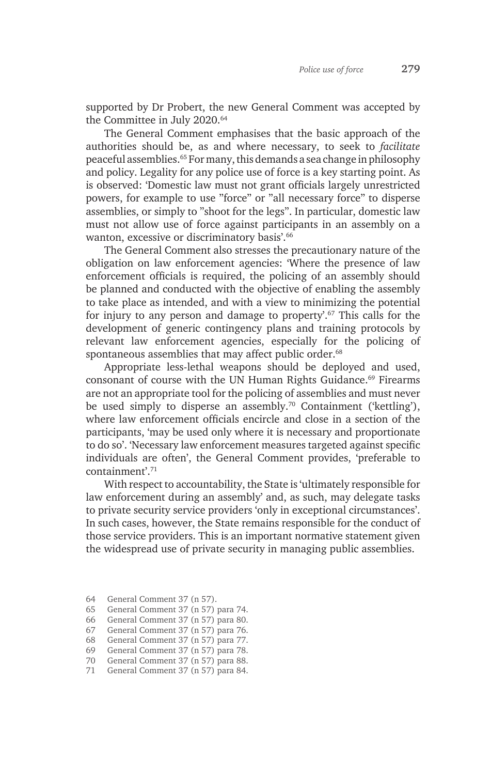supported by Dr Probert, the new General Comment was accepted by the Committee in July 2020.<sup>64</sup>

The General Comment emphasises that the basic approach of the authorities should be, as and where necessary, to seek to *facilitate* peaceful assemblies.65 For many, this demands a sea change in philosophy and policy. Legality for any police use of force is a key starting point. As is observed: 'Domestic law must not grant officials largely unrestricted powers, for example to use "force" or "all necessary force" to disperse assemblies, or simply to "shoot for the legs". In particular, domestic law must not allow use of force against participants in an assembly on a wanton, excessive or discriminatory basis'.66

The General Comment also stresses the precautionary nature of the obligation on law enforcement agencies: 'Where the presence of law enforcement officials is required, the policing of an assembly should be planned and conducted with the objective of enabling the assembly to take place as intended, and with a view to minimizing the potential for injury to any person and damage to property'.67 This calls for the development of generic contingency plans and training protocols by relevant law enforcement agencies, especially for the policing of spontaneous assemblies that may affect public order.<sup>68</sup>

Appropriate less-lethal weapons should be deployed and used, consonant of course with the UN Human Rights Guidance.<sup>69</sup> Firearms are not an appropriate tool for the policing of assemblies and must never be used simply to disperse an assembly.<sup>70</sup> Containment ('kettling'), where law enforcement officials encircle and close in a section of the participants, 'may be used only where it is necessary and proportionate to do so'. 'Necessary law enforcement measures targeted against specific individuals are often', the General Comment provides, 'preferable to containment'.<sup>71</sup>

With respect to accountability, the State is 'ultimately responsible for law enforcement during an assembly' and, as such, may delegate tasks to private security service providers 'only in exceptional circumstances'. In such cases, however, the State remains responsible for the conduct of those service providers. This is an important normative statement given the widespread use of private security in managing public assemblies.

<sup>64</sup> General Comment 37 (n 57).

<sup>65</sup> General Comment 37 (n 57) para 74.

<sup>66</sup> General Comment 37 (n 57) para 80.

<sup>67</sup> General Comment 37 (n 57) para 76.

<sup>68</sup> General Comment 37 (n 57) para 77.

<sup>69</sup> General Comment 37 (n 57) para 78.

<sup>70</sup> General Comment 37 (n 57) para 88.

<sup>71</sup> General Comment 37 (n 57) para 84.